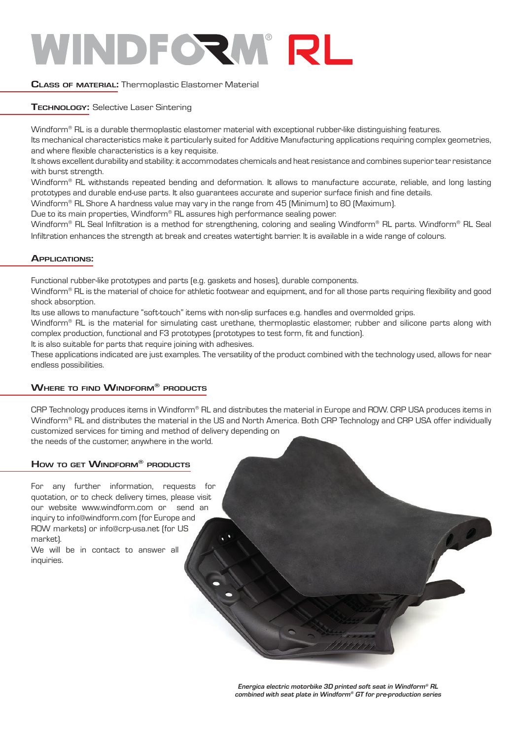### **Class of material:** Thermoplastic Elastomer Material

**Technology:** Selective Laser Sintering

Windform® RL is a durable thermoplastic elastomer material with exceptional rubber-like distinguishing features.

Its mechanical characteristics make it particularly suited for Additive Manufacturing applications requiring complex geometries, and where flexible characteristics is a key requisite.

It shows excellent durability and stability: it accommodates chemicals and heat resistance and combines superior tear resistance with burst strength.

Windform® RL withstands repeated bending and deformation. It allows to manufacture accurate, reliable, and long lasting prototypes and durable end-use parts. It also guarantees accurate and superior surface finish and fine details.

Windform® RL Shore A hardness value may vary in the range from 45 (Minimum) to 80 (Maximum).

Due to its main properties, Windform® RL assures high performance sealing power.

Windform® RL Seal Infiltration is a method for strengthening, coloring and sealing Windform® RL parts. Windform® RL Seal Infiltration enhances the strength at break and creates watertight barrier. It is available in a wide range of colours.

### **Applications:**

Functional rubber-like prototypes and parts (e.g. gaskets and hoses), durable components.

Windform® RL is the material of choice for athletic footwear and equipment, and for all those parts requiring flexibility and good shock absorption.

Its use allows to manufacture "soft-touch" items with non-slip surfaces e.g. handles and overmolded grips.

Windform® RL is the material for simulating cast urethane, thermoplastic elastomer, rubber and silicone parts along with complex production, functional and F3 prototypes (prototypes to test form, fit and function).

It is also suitable for parts that require joining with adhesives.

These applications indicated are just examples. The versatility of the product combined with the technology used, allows for near endless possibilities.

## **Where to find Windform® products**

CRP Technology produces items in Windform® RL and distributes the material in Europe and ROW. CRP USA produces items in Windform® RL and distributes the material in the US and North America. Both CRP Technology and CRP USA offer individually customized services for timing and method of delivery depending on the needs of the customer, anywhere in the world.

## **How to get Windform® products**

For any further information, requests for quotation, or to check delivery times, please visit our website www.windform.com or send an inquiry to info@windform.com (for Europe and ROW markets) or info@crp-usa.net (for US market).

We will be in contact to answer all inquiries.

> **Energica electric motorbike 3D printed soft seat in Windform® RL combined with seat plate in Windform® GT for pre-production series**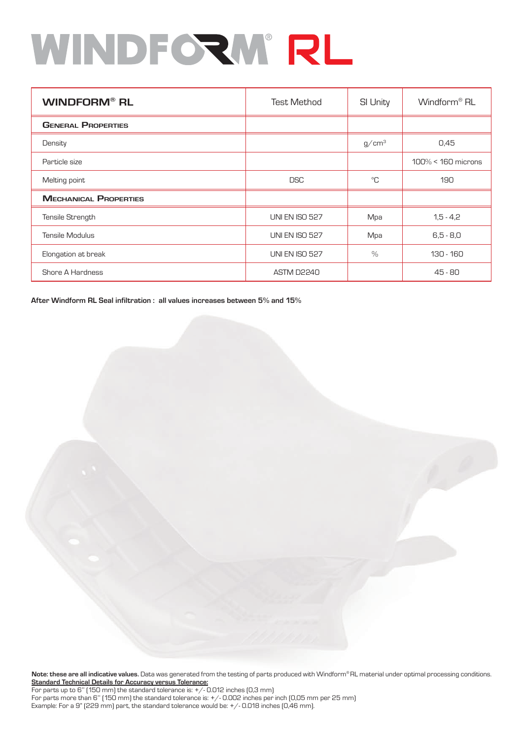| <b>WINDFORM® RL</b>          | <b>Test Method</b>    | <b>SI Unity</b>   | Windform <sup>®</sup> RL |
|------------------------------|-----------------------|-------------------|--------------------------|
| <b>GENERAL PROPERTIES</b>    |                       |                   |                          |
| Density                      |                       | g/cm <sup>3</sup> | 0,45                     |
| Particle size                |                       |                   | $100\% < 160$ microns    |
| Melting point                | <b>DSC</b>            | °C                | 190                      |
| <b>MECHANICAL PROPERTIES</b> |                       |                   |                          |
| Tensile Strength             | <b>UNI EN ISO 527</b> | Mpa               | $1,5 - 4,2$              |
| <b>Tensile Modulus</b>       | <b>UNI EN ISO 527</b> | Mpa               | $6,5 - 8,0$              |
| Elongation at break          | <b>UNI EN ISO 527</b> | $\%$              | 130 - 160                |
| <b>Shore A Hardness</b>      | <b>ASTM D2240</b>     |                   | $45 - 80$                |

**After Windform RL Seal infiltration : all values increases between 5% and 15%**

**Note: these are all indicative values.** Data was generated from the testing of parts produced with Windform® RL material under optimal processing conditions. **Standard Technical Details for Accuracy versus Tolerance:**

For parts up to 6" (150 mm) the standard tolerance is:  $+/-$  0.012 inches (0,3 mm) For parts more than 6'' (150 mm) the standard tolerance is: +/- 0.002 inches per inch (0,05 mm per 25 mm) Example: For a 9" (229 mm) part, the standard tolerance would be: +/- 0.018 inches (0,46 mm).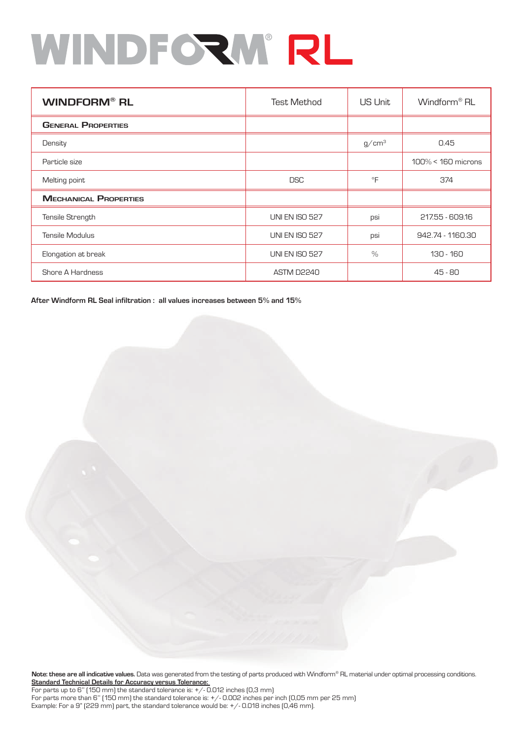| <b>WINDFORM® RL</b>          | <b>Test Method</b>    | US Unit           | Windform <sup>®</sup> RL |
|------------------------------|-----------------------|-------------------|--------------------------|
| <b>GENERAL PROPERTIES</b>    |                       |                   |                          |
| Density                      |                       | g/cm <sup>3</sup> | 0.45                     |
| Particle size                |                       |                   | $100\% < 160$ microns    |
| Melting point                | <b>DSC</b>            | °F                | 374                      |
| <b>MECHANICAL PROPERTIES</b> |                       |                   |                          |
| Tensile Strength             | <b>UNI EN ISO 527</b> | psi               | 217.55 - 609.16          |
| <b>Tensile Modulus</b>       | <b>UNI EN ISO 527</b> | psi               | 942.74 - 1160.30         |
| Elongation at break          | <b>UNI EN ISO 527</b> | $\frac{9}{6}$     | 130 - 160                |
| <b>Shore A Hardness</b>      | <b>ASTM D2240</b>     |                   | $45 - 80$                |

**After Windform RL Seal infiltration : all values increases between 5% and 15%**

**Note: these are all indicative values.** Data was generated from the testing of parts produced with Windform® RL material under optimal processing conditions. **Standard Technical Details for Accuracy versus Tolerance:** 

For parts up to 6" (150 mm) the standard tolerance is:  $+/-$  0.012 inches (0,3 mm) For parts more than 6'' (150 mm) the standard tolerance is: +/- 0.002 inches per inch (0,05 mm per 25 mm) Example: For a 9" (229 mm) part, the standard tolerance would be: +/- 0.018 inches (0,46 mm).